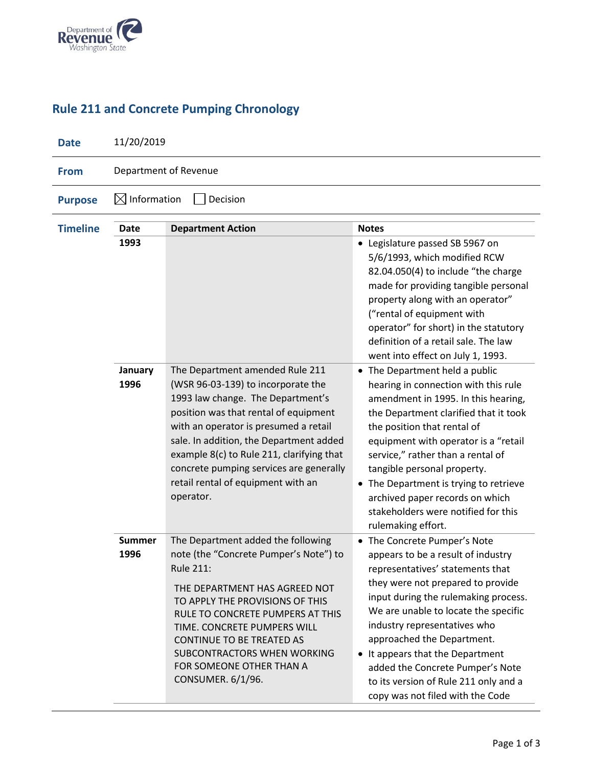

## **Rule 211 and Concrete Pumping Chronology**

| <b>Date</b>     | 11/20/2019                     |                                                                                                                                                                                                                                                                                                                                                                                    |                                                                                                                                                                                                                                                                                                                                                                                                                                                |  |
|-----------------|--------------------------------|------------------------------------------------------------------------------------------------------------------------------------------------------------------------------------------------------------------------------------------------------------------------------------------------------------------------------------------------------------------------------------|------------------------------------------------------------------------------------------------------------------------------------------------------------------------------------------------------------------------------------------------------------------------------------------------------------------------------------------------------------------------------------------------------------------------------------------------|--|
| <b>From</b>     | Department of Revenue          |                                                                                                                                                                                                                                                                                                                                                                                    |                                                                                                                                                                                                                                                                                                                                                                                                                                                |  |
| <b>Purpose</b>  | Information<br>Decision<br>IXI |                                                                                                                                                                                                                                                                                                                                                                                    |                                                                                                                                                                                                                                                                                                                                                                                                                                                |  |
| <b>Timeline</b> | <b>Date</b>                    | <b>Department Action</b><br><b>Notes</b>                                                                                                                                                                                                                                                                                                                                           |                                                                                                                                                                                                                                                                                                                                                                                                                                                |  |
|                 | 1993                           |                                                                                                                                                                                                                                                                                                                                                                                    | • Legislature passed SB 5967 on<br>5/6/1993, which modified RCW<br>82.04.050(4) to include "the charge<br>made for providing tangible personal<br>property along with an operator"<br>("rental of equipment with<br>operator" for short) in the statutory<br>definition of a retail sale. The law<br>went into effect on July 1, 1993.                                                                                                         |  |
|                 | January<br>1996                | The Department amended Rule 211<br>(WSR 96-03-139) to incorporate the<br>1993 law change. The Department's<br>position was that rental of equipment<br>with an operator is presumed a retail<br>sale. In addition, the Department added<br>example 8(c) to Rule 211, clarifying that<br>concrete pumping services are generally<br>retail rental of equipment with an<br>operator. | • The Department held a public<br>hearing in connection with this rule<br>amendment in 1995. In this hearing,<br>the Department clarified that it took<br>the position that rental of<br>equipment with operator is a "retail<br>service," rather than a rental of<br>tangible personal property.<br>• The Department is trying to retrieve<br>archived paper records on which<br>stakeholders were notified for this<br>rulemaking effort.    |  |
|                 | <b>Summer</b><br>1996          | The Department added the following<br>note (the "Concrete Pumper's Note") to<br><b>Rule 211:</b><br>THE DEPARTMENT HAS AGREED NOT<br>TO APPLY THE PROVISIONS OF THIS<br>RULE TO CONCRETE PUMPERS AT THIS<br>TIME. CONCRETE PUMPERS WILL<br>CONTINUE TO BE TREATED AS<br>SUBCONTRACTORS WHEN WORKING<br>FOR SOMEONE OTHER THAN A<br>CONSUMER. 6/1/96.                               | • The Concrete Pumper's Note<br>appears to be a result of industry<br>representatives' statements that<br>they were not prepared to provide<br>input during the rulemaking process.<br>We are unable to locate the specific<br>industry representatives who<br>approached the Department.<br>• It appears that the Department<br>added the Concrete Pumper's Note<br>to its version of Rule 211 only and a<br>copy was not filed with the Code |  |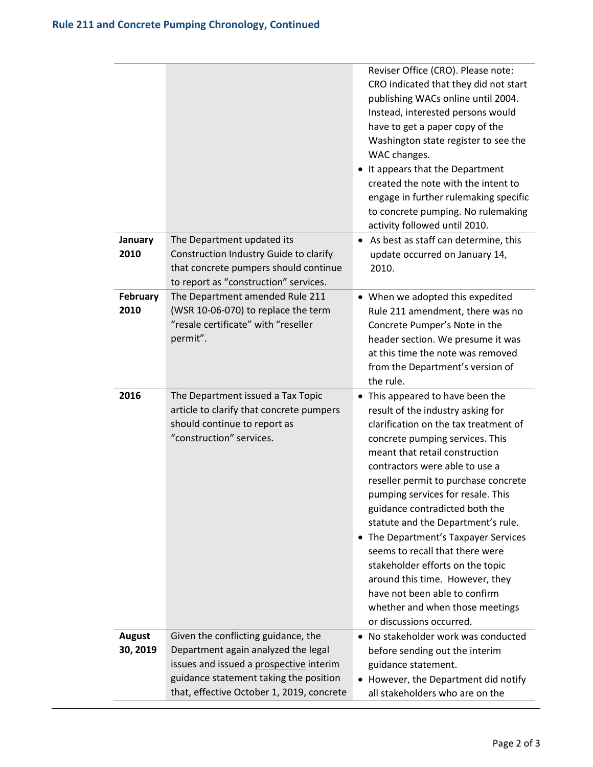|                           |                                                                                                                                                                                                              | Reviser Office (CRO). Please note:<br>CRO indicated that they did not start<br>publishing WACs online until 2004.<br>Instead, interested persons would<br>have to get a paper copy of the<br>Washington state register to see the<br>WAC changes.<br>• It appears that the Department<br>created the note with the intent to<br>engage in further rulemaking specific<br>to concrete pumping. No rulemaking<br>activity followed until 2010.                                                                                                                                                                               |
|---------------------------|--------------------------------------------------------------------------------------------------------------------------------------------------------------------------------------------------------------|----------------------------------------------------------------------------------------------------------------------------------------------------------------------------------------------------------------------------------------------------------------------------------------------------------------------------------------------------------------------------------------------------------------------------------------------------------------------------------------------------------------------------------------------------------------------------------------------------------------------------|
| January<br>2010           | The Department updated its<br>Construction Industry Guide to clarify<br>that concrete pumpers should continue<br>to report as "construction" services.                                                       | As best as staff can determine, this<br>update occurred on January 14,<br>2010.                                                                                                                                                                                                                                                                                                                                                                                                                                                                                                                                            |
| February<br>2010          | The Department amended Rule 211<br>(WSR 10-06-070) to replace the term<br>"resale certificate" with "reseller<br>permit".                                                                                    | • When we adopted this expedited<br>Rule 211 amendment, there was no<br>Concrete Pumper's Note in the<br>header section. We presume it was<br>at this time the note was removed<br>from the Department's version of<br>the rule.                                                                                                                                                                                                                                                                                                                                                                                           |
| 2016                      | The Department issued a Tax Topic<br>article to clarify that concrete pumpers<br>should continue to report as<br>"construction" services.                                                                    | • This appeared to have been the<br>result of the industry asking for<br>clarification on the tax treatment of<br>concrete pumping services. This<br>meant that retail construction<br>contractors were able to use a<br>reseller permit to purchase concrete<br>pumping services for resale. This<br>guidance contradicted both the<br>statute and the Department's rule.<br>The Department's Taxpayer Services<br>seems to recall that there were<br>stakeholder efforts on the topic<br>around this time. However, they<br>have not been able to confirm<br>whether and when those meetings<br>or discussions occurred. |
| <b>August</b><br>30, 2019 | Given the conflicting guidance, the<br>Department again analyzed the legal<br>issues and issued a prospective interim<br>guidance statement taking the position<br>that, effective October 1, 2019, concrete | No stakeholder work was conducted<br>before sending out the interim<br>guidance statement.<br>• However, the Department did notify<br>all stakeholders who are on the                                                                                                                                                                                                                                                                                                                                                                                                                                                      |